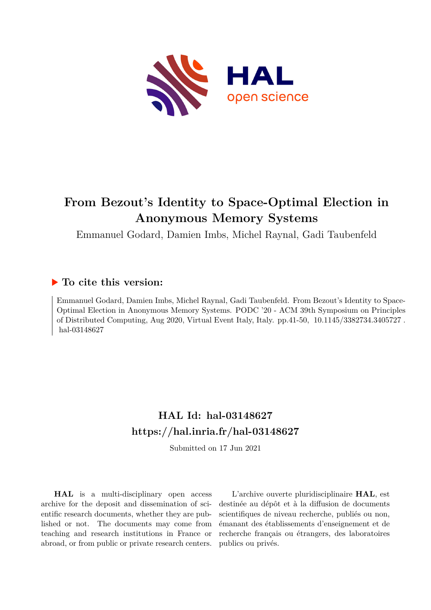

# **From Bezout's Identity to Space-Optimal Election in Anonymous Memory Systems**

Emmanuel Godard, Damien Imbs, Michel Raynal, Gadi Taubenfeld

# **To cite this version:**

Emmanuel Godard, Damien Imbs, Michel Raynal, Gadi Taubenfeld. From Bezout's Identity to Space-Optimal Election in Anonymous Memory Systems. PODC '20 - ACM 39th Symposium on Principles of Distributed Computing, Aug 2020, Virtual Event Italy, Italy. pp.41-50,  $10.1145/3382734.3405727$ . hal-03148627

# **HAL Id: hal-03148627 <https://hal.inria.fr/hal-03148627>**

Submitted on 17 Jun 2021

**HAL** is a multi-disciplinary open access archive for the deposit and dissemination of scientific research documents, whether they are published or not. The documents may come from teaching and research institutions in France or abroad, or from public or private research centers.

L'archive ouverte pluridisciplinaire **HAL**, est destinée au dépôt et à la diffusion de documents scientifiques de niveau recherche, publiés ou non, émanant des établissements d'enseignement et de recherche français ou étrangers, des laboratoires publics ou privés.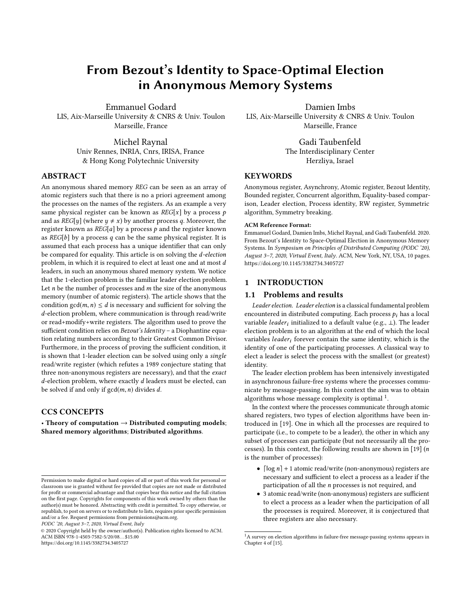# From Bezout's Identity to Space-Optimal Election in Anonymous Memory Systems

Emmanuel Godard LIS, Aix-Marseille University & CNRS & Univ. Toulon Marseille, France

> Michel Raynal Univ Rennes, INRIA, Cnrs, IRISA, France & Hong Kong Polytechnic University

## ABSTRACT

An anonymous shared memory REG can be seen as an array of atomic registers such that there is no a priori agreement among the processes on the names of the registers. As an example a very same physical register can be known as  $REG[x]$  by a process  $p$ and as  $REG[y]$  (where  $y \neq x$ ) by another process q. Moreover, the register known as  $REG[a]$  by a process  $p$  and the register known as  $REG[b]$  by a process q can be the same physical register. It is assumed that each process has a unique identifier that can only be compared for equality. This article is on solving the d-election problem, in which it is required to elect at least one and at most d leaders, in such an anonymous shared memory system. We notice that the 1-election problem is the familiar leader election problem. Let  $n$  be the number of processes and  $m$  the size of the anonymous memory (number of atomic registers). The article shows that the condition  $gcd(m, n) \le d$  is necessary and sufficient for solving the d-election problem, where communication is through read/write or read+modify+write registers. The algorithm used to prove the sufficient condition relies on Bezout's Identity - a Diophantine equation relating numbers according to their Greatest Common Divisor. Furthermore, in the process of proving the sufficient condition, it is shown that 1-leader election can be solved using only a single read/write register (which refutes a 1989 conjecture stating that three non-anonymous registers are necessary), and that the exact  $d$ -election problem, where exactly  $d$  leaders must be elected, can be solved if and only if  $gcd(m, n)$  divides d.

### CCS CONCEPTS

• Theory of computation  $\rightarrow$  Distributed computing models; Shared memory algorithms; Distributed algorithms.

PODC '20, August 3–7, 2020, Virtual Event, Italy

Damien Imbs LIS, Aix-Marseille University & CNRS & Univ. Toulon Marseille, France

> Gadi Taubenfeld The Interdisciplinary Center Herzliya, Israel

### **KEYWORDS**

Anonymous register, Asynchrony, Atomic register, Bezout Identity, Bounded register, Concurrent algorithm, Equality-based comparison, Leader election, Process identity, RW register, Symmetric algorithm, Symmetry breaking.

#### ACM Reference Format:

Emmanuel Godard, Damien Imbs, Michel Raynal, and Gadi Taubenfeld. 2020. From Bezout's Identity to Space-Optimal Election in Anonymous Memory Systems. In Symposium on Principles of Distributed Computing (PODC '20), August 3–7, 2020, Virtual Event, Italy. ACM, New York, NY, USA, 10 pages. <https://doi.org/10.1145/3382734.3405727>

#### 1 INTRODUCTION

#### 1.1 Problems and results

Leader election. Leader election is a classical fundamental problem encountered in distributed computing. Each process  $p_i$  has a local variable *leader<sub>i</sub>* initialized to a default value (e.g.,  $\perp$ ). The leader election problem is to an algorithm at the end of which the local election problem is to an algorithm at the end of which the local variables *leader<sub>i</sub>* forever contain the same identity, which is the identity of one of the participating processes. A classical way to elect a leader is select the process with the smallest (or greatest) identity.

The leader election problem has been intensively investigated in asynchronous failure-free systems where the processes communicate by message-passing. In this context the aim was to obtain algorithms whose message complexity is optimal  $\frac{1}{1}$ .

In the context where the processes communicate through atomic shared registers, two types of election algorithms have been introduced in [19]. One in which all the processes are required to participate (i.e., to compete to be a leader), the other in which any subset of processes can participate (but not necessarily all the processes). In this context, the following results are shown in [19]  $(n - 1)$ is the number of processes):

- $\lceil \log n \rceil$  + 1 atomic read/write (non-anonymous) registers are necessary and sufficient to elect a process as a leader if the participation of all the n processes is not required, and
- 3 atomic read/write (non-anonymous) registers are sufficient to elect a process as a leader when the participation of all the processes is required. Moreover, it is conjectured that three registers are also necessary.

Permission to make digital or hard copies of all or part of this work for personal or classroom use is granted without fee provided that copies are not made or distributed for profit or commercial advantage and that copies bear this notice and the full citation on the first page. Copyrights for components of this work owned by others than the author(s) must be honored. Abstracting with credit is permitted. To copy otherwise, or republish, to post on servers or to redistribute to lists, requires prior specific permission and/or a fee. Request permissions from permissions@acm.org.

<sup>©</sup> 2020 Copyright held by the owner/author(s). Publication rights licensed to ACM. ACM ISBN 978-1-4503-7582-5/20/08. . . \$15.00 <https://doi.org/10.1145/3382734.3405727>

<sup>&</sup>lt;sup>1</sup>A survey on election algorithms in failure-free message-passing systems appears in Chapter 4 of [15].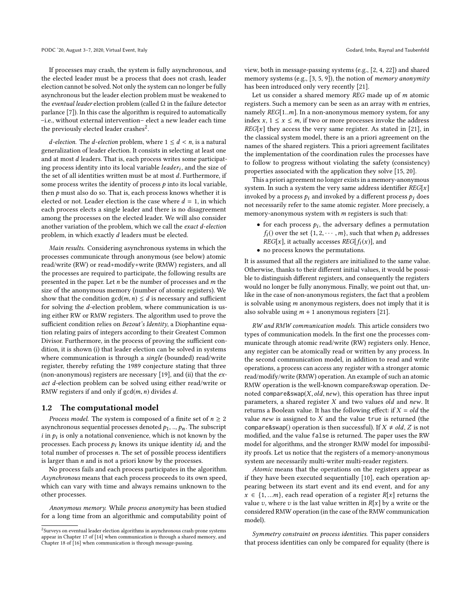If processes may crash, the system is fully asynchronous, and the elected leader must be a process that does not crash, leader election cannot be solved. Not only the system can no longer be fully asynchronous but the leader election problem must be weakened to the eventual leader election problem (called  $\Omega$  in the failure detector parlance [7]). In this case the algorithm is required to automatically –i.e., without external intervention– elect a new leader each time the previously elected leader crashes<sup>2</sup>.

*d*-election. The *d*-election problem, where  $1 \le d \le n$ , is a natural generalization of leader election. It consists in selecting at least one and at most d leaders. That is, each process writes some participating process identity into its local variable *leader<sub>i</sub>*, and the size of the set of all identities written must be at most  $d$ . Eurthermore, if the set of all identities written must be at most d. Furthermore, if some process writes the identity of process  $p$  into its local variable, then  $p$  must also do so. That is, each process knows whether it is elected or not. Leader election is the case where  $d = 1$ , in which each process elects a single leader and there is no disagreement among the processes on the elected leader. We will also consider another variation of the problem, which we call the exact d-election problem, in which exactly d leaders must be elected.

Main results. Considering asynchronous systems in which the processes communicate through anonymous (see below) atomic read/write (RW) or read+modify+write (RMW) registers, and all the processes are required to participate, the following results are presented in the paper. Let  $n$  be the number of processes and  $m$  the size of the anonymous memory (number of atomic registers). We show that the condition  $gcd(m, n) \le d$  is necessary and sufficient for solving the d-election problem, where communication is using either RW or RMW registers. The algorithm used to prove the sufficient condition relies on Bezout's Identity, a Diophantine equation relating pairs of integers according to their Greatest Common Divisor. Furthermore, in the process of proving the sufficient condition, it is shown (i) that leader election can be solved in systems where communication is through a *single* (bounded) read/write register, thereby refuting the 1989 conjecture stating that three (non-anonymous) registers are necessary [19], and (ii) that the exact d-election problem can be solved using either read/write or RMW registers if and only if  $gcd(m, n)$  divides d.

#### 1.2 The computational model

*Process model.* The system is composed of a finite set of  $n \geq 2$ asynchronous sequential processes denoted  $p_1, ..., p_n$ . The subscript  $i$  in  $p_i$  is only a notational convenience, which is not known by the processes. Each process  $p_i$  knows its unique identity  $id$ , and the processes. Each process  $p_i$  knows its unique identity  $id_i$  and the total number of processes n. The set of possible process identifiers is larger than  $n$  and is not a priori know by the processes.

No process fails and each process participates in the algorithm. Asynchronous means that each process proceeds to its own speed, which can vary with time and always remains unknown to the other processes.

Anonymous memory. While process anonymity has been studied for a long time from an algorithmic and computability point of

view, both in message-passing systems (e.g., [2, 4, 22]) and shared memory systems (e.g., [3, 5, 9]), the notion of *memory anonymity* has been introduced only very recently [21].

Let us consider a shared memory REG made up of m atomic registers. Such a memory can be seen as an array with m entries, namely  $REG[1..m]$ . In a non-anonymous memory system, for any index x,  $1 \le x \le m$ , if two or more processes invoke the address  $REG[x]$  they access the very same register. As stated in [21], in the classical system model, there is an a priori agreement on the names of the shared registers. This a priori agreement facilitates the implementation of the coordination rules the processes have to follow to progress without violating the safety (consistency) properties associated with the application they solve [15, 20].

This a priori agreement no longer exists in a memory-anonymous system. In such a system the very same address identifier  $REG[x]$ invoked by a process  $p_i$  and invoked by a different process  $p_i$  does not necessarily refer to the same atomic register. More precisely, a memory-anonymous system with m registers is such that:

- for each process  $p_i$ , the adversary defines a permutation  $f_i()$  over the set  $\{1, 2, \ldots, m\}$  such that when  $p_i$  addresses  $f_i()$  over the set  $\{1, 2, \cdots, m\}$ , such that when  $p_i$  addresses  $REG[x]$ , it actually accesses  $REG[f_i(x)]$ , and
- no process knows the permutations.

It is assumed that all the registers are initialized to the same value. Otherwise, thanks to their different initial values, it would be possible to distinguish different registers, and consequently the registers would no longer be fully anonymous. Finally, we point out that, unlike in the case of non-anonymous registers, the fact that a problem is solvable using m anonymous registers, does not imply that it is also solvable using  $m + 1$  anonymous registers [21].

RW and RMW communication models. This article considers two types of communication models. In the first one the processes communicate through atomic read/write (RW) registers only. Hence, any register can be atomically read or written by any process. In the second communication model, in addition to read and write operations, a process can access any register with a stronger atomic read/modify/write (RMW) operation. An example of such an atomic RMW operation is the well-known compare&swap operation. Denoted compare&swap( $X$ , old, new), this operation has three input parameters, a shared register  $X$  and two values old and new. It returns a Boolean value. It has the following effect: if  $X = old$  the value  $new$  is assigned to  $X$  and the value true is returned (the compare&swap() operation is then successful). If  $X \neq old$ , Z is not modified, and the value false is returned. The paper uses the RW model for algorithms, and the stronger RMW model for impossibility proofs. Let us notice that the registers of a memory-anonymous system are necessarily multi-writer multi-reader registers.

Atomic means that the operations on the registers appear as if they have been executed sequentially [10], each operation appearing between its start event and its end event, and for any  $x \in \{1, ...m\}$ , each read operation of a register  $R[x]$  returns the value v, where v is the last value written in  $R[x]$  by a write or the considered RMW operation (in the case of the RMW communication model).

Symmetry constraint on process identities. This paper considers that process identities can only be compared for equality (there is

 $^2$ Surveys on eventual leader election algorithms in asynchronous crash-prone systems appear in Chapter 17 of [14] when communication is through a shared memory, and Chapter 18 of [16] when communication is through message-passing.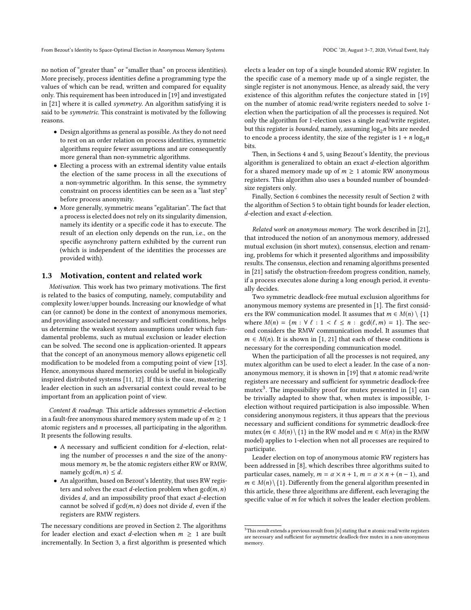From Bezout's Identity to Space-Optimal Election in Anonymous Memory Systems PODC '20, August 3-7, 2020, Virtual Event, Italy

no notion of "greater than" or "smaller than" on process identities). More precisely, process identities define a programming type the values of which can be read, written and compared for equality only. This requirement has been introduced in [19] and investigated in [21] where it is called symmetry. An algorithm satisfying it is said to be symmetric. This constraint is motivated by the following reasons.

- Design algorithms as general as possible. As they do not need to rest on an order relation on process identities, symmetric algorithms require fewer assumptions and are consequently more general than non-symmetric algorithms.
- Electing a process with an extremal identity value entails the election of the same process in all the executions of a non-symmetric algorithm. In this sense, the symmetry constraint on process identities can be seen as a "last step" before process anonymity.
- More generally, symmetric means "egalitarian". The fact that a process is elected does not rely on its singularity dimension, namely its identity or a specific code it has to execute. The result of an election only depends on the run, i.e., on the specific asynchrony pattern exhibited by the current run (which is independent of the identities the processes are provided with).

#### 1.3 Motivation, content and related work

Motivation. This work has two primary motivations. The first is related to the basics of computing, namely, computability and complexity lower/upper bounds. Increasing our knowledge of what can (or cannot) be done in the context of anonymous memories, and providing associated necessary and sufficient conditions, helps us determine the weakest system assumptions under which fundamental problems, such as mutual exclusion or leader election can be solved. The second one is application-oriented. It appears that the concept of an anonymous memory allows epigenetic cell modification to be modeled from a computing point of view [13]. Hence, anonymous shared memories could be useful in biologically inspired distributed systems [11, 12]. If this is the case, mastering leader election in such an adversarial context could reveal to be important from an application point of view.

Content & roadmap. This article addresses symmetric d-election in a fault-free anonymous shared memory system made up of  $m \geq 1$ atomic registers and n processes, all participating in the algorithm. It presents the following results.

- A necessary and sufficient condition for <sup>d</sup>-election, relating the number of processes  $n$  and the size of the anonymous memory  $m$ , be the atomic registers either RW or RMW, namely  $gcd(m, n) \leq d$ .
- An algorithm, based on Bezout's Identity, that uses RW registers and solves the exact *d*-election problem when  $gcd(m, n)$ divides d, and an impossibility proof that exact d-election cannot be solved if  $gcd(m, n)$  does not divide d, even if the registers are RMW registers.

The necessary conditions are proved in Section 2. The algorithms for leader election and exact *d*-election when  $m \geq 1$  are built incrementally. In Section 3, a first algorithm is presented which elects a leader on top of a single bounded atomic RW register. In the specific case of a memory made up of a single register, the single register is not anonymous. Hence, as already said, the very existence of this algorithm refutes the conjecture stated in [19] on the number of atomic read/write registers needed to solve 1 election when the participation of all the processes is required. Not only the algorithm for 1-election uses a single read/write register, but this register is *bounded*, namely, assuming  $log_2 n$  bits are needed to encode a process identity, the size of the register is  $1 + n log_2 n$ to encode a process identity, the size of the register is  $1 + n \log_2 n$ bits.

Then, in Sections 4 and 5, using Bezout's Identity, the previous algorithm is generalized to obtain an exact d-election algorithm for a shared memory made up of  $m \geq 1$  atomic RW anonymous registers. This algorithm also uses a bounded number of boundedsize registers only.

Finally, Section 6 combines the necessity result of Section 2 with the algorithm of Section 5 to obtain tight bounds for leader election, d-election and exact d-election.

Related work on anonymous memory. The work described in [21], that introduced the notion of an anonymous memory, addressed mutual exclusion (in short mutex), consensus, election and renaming, problems for which it presented algorithms and impossibility results. The consensus, election and renaming algorithms presented in [21] satisfy the obstruction-freedom progress condition, namely, if a process executes alone during a long enough period, it eventually decides.

Two symmetric deadlock-free mutual exclusion algorithms for anonymous memory systems are presented in [1]. The first considers the RW communication model. It assumes that  $m \in M(n) \setminus \{1\}$ where  $M(n) = \{m : \forall \ell : 1 < \ell \leq n : \gcd(\ell, m) = 1\}$ . The second considers the RMW communication model. It assumes that  $m \in M(n)$ . It is shown in [1, 21] that each of these conditions is necessary for the corresponding communication model.

When the participation of all the processes is not required, any mutex algorithm can be used to elect a leader. In the case of a nonanonymous memory, it is shown in  $[19]$  that *n* atomic read/write registers are necessary and sufficient for symmetric deadlock-free  $m$ utex<sup>3</sup>. The impossibility proof for mutex presented in [1] can be trivially adapted to show that, when mutex is impossible, 1 election without required participation is also impossible. When considering anonymous registers, it thus appears that the previous necessary and sufficient conditions for symmetric deadlock-free mutex ( $m \in M(n) \setminus \{1\}$  in the RW model and  $m \in M(n)$  in the RMW model) applies to 1-election when not all processes are required to participate.

Leader election on top of anonymous atomic RW registers has been addressed in [8], which describes three algorithms suited to particular cases, namely,  $m = \alpha \times n + 1$ ,  $m = \alpha \times n + (n - 1)$ , and  $m \in M(n) \setminus \{1\}$ . Differently from the general algorithm presented in this article, these three algorithms are different, each leveraging the specific value of  $m$  for which it solves the leader election problem.

 $^3$  This result extends a previous result from [6] stating that  $\boldsymbol{n}$  atomic read/write registers are necessary and sufficient for asymmetric deadlock-free mutex in a non-anonymous memory.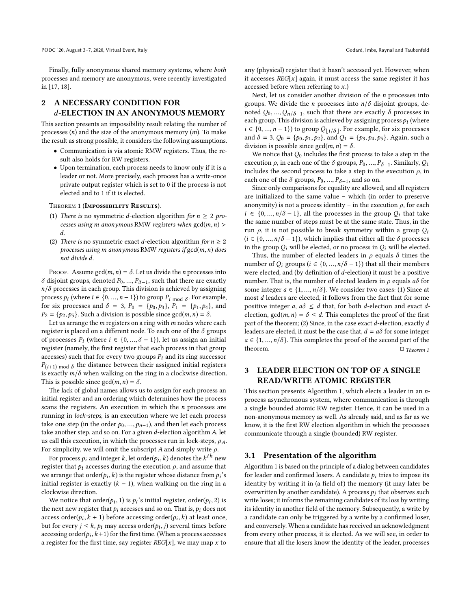Finally, fully anonymous shared memory systems, where both processes and memory are anonymous, were recently investigated in [17, 18].

## 2 A NECESSARY CONDITION FOR d-ELECTION IN AN ANONYMOUS MEMORY

This section presents an impossibility result relating the number of processes  $(n)$  and the size of the anonymous memory  $(m)$ . To make the result as strong possible, it considers the following assumptions.

- Communication is via atomic RMW registers. Thus, the result also holds for RW registers.
- Upon termination, each process needs to know only if it is a leader or not. More precisely, each process has a write-once private output register which is set to 0 if the process is not elected and to 1 if it is elected.

#### THEOREM 1 (IMPOSSIBILITY RESULTS).

- (1) There is no symmetric d-election algorithm for  $n \geq 2$  processes using m anonymous RMW registers when  $gcd(m, n)$  > d.
- (2) There is no symmetric exact d-election algorithm for  $n \geq 2$ processes using m anonymous RMW registers if  $gcd(m, n)$  does not divide d.

PROOF. Assume gcd $(m, n) = \delta$ . Let us divide the *n* processes into δ disjoint groups, denoted  $P_0, ..., P_{\delta-1}$ , such that there are exactly  $n/\delta$  processes in each group. This division is achieved by assigning  $n/\delta$  processes in each group. This division is achieved by assigning process  $p_i$  (where  $i \in \{0, ..., n-1\}$ ) to group  $P_i$  mod  $\delta$ . For example,<br>for six processes and  $\delta = 3$ ,  $P_0 = \{p_0, p_0\}$ ,  $P_1 = \{p_1, p_2\}$ , and for six processes and  $\delta = 3$ ,  $P_0 = \{p_0, p_3\}$ ,  $P_1 = \{p_1, p_4\}$ , and  $P_2 = \{p_2, p_5\}$ . Such a division is possible since gcd $(m, n) = \delta$ .

Let us arrange the  $m$  registers on a ring with  $m$  nodes where each register is placed on a different node. To each one of the  $\delta$  groups of processes  $P_i$  (where  $i \in \{0, ..., \delta - 1\}$ ), let us assign an initial<br>register (namely the first register that each process in that group register (namely, the first register that each process in that group accesses) such that for every two groups  $P_i$  and its ring successor  $P_{(i+1) \text{ mod } \delta}$  the distance between their assigned initial registers<br>is exactly  $m/\delta$  when walking on the ring in a clockwise direction is exactly  $m/\delta$  when walking on the ring in a clockwise direction. This is possible since  $gcd(m, n) = \delta$ .

The lack of global names allows us to assign for each process an initial register and an ordering which determines how the process scans the registers. An execution in which the  $n$  processes are running in lock-steps, is an execution where we let each process take one step (in the order  $p_0, ..., p_{n-1}$ ), and then let each process take another step, and so on. For a given d-election algorithm A, let us call this execution, in which the processes run in lock-steps,  $\rho_A$ . For simplicity, we will omit the subscript A and simply write  $\rho$ .

For process  $p_i$  and integer k, let order( $p_i, k$ ) denotes the  $k^{th}$  new<br>sister that  $p_i$  accesses during the execution a and assume that register that  $p_i$  accesses during the execution  $\rho$ , and assume that we arrange that order( $p_i$ , k) is the register whose distance from  $p_i$ 's<br>initial register is exactly  $(k-1)$  when walking on the ring in a initial register is exactly  $(k - 1)$ , when walking on the ring in a clockwise direction.

We notice that order $(p_i, 1)$  is  $p_i$ 's initial register, order $(p_i, 2)$  is<br>the principal register that  $p_i$  accesses and so on That is  $p_i$  does not the next new register that  $p_i$  accesses and so on. That is,  $p_i$  does not  $\text{access order}(p_i, k+1)$  before accessing order $(p_i, k)$  at least once,<br>but for event  $i \leq k$ , n. may access order $(p_i, k)$  several times before but for every  $j \le k$ ,  $p_i$  may access order $(p_i, j)$  several times before  $\arccosing order(p_i, k+1)$  for the first time. (When a process accesses<br>a register for the first time, say register  $PFC[x]$ , we may man x to a register for the first time, say register  $REG[x]$ , we may map x to

any (physical) register that it hasn't accessed yet. However, when it accesses  $REG[x]$  again, it must access the same register it has accessed before when referring to x.)

Next, let us consider another division of the  $n$  processes into groups. We divide the *n* processes into  $n/\delta$  disjoint groups, denoted  $Q_0, ..., Q_n/\delta-1$ , such that there are exactly  $\delta$  processes in each group. This division is achieved by assigning process  $\delta$ . (where each group. This division is achieved by assigning process  $p_i$  (where  $i \in \{0, \ldots, n-1\}$ ) to group  $Q_i$ , see For example, for six processes  $i \in \{0, ..., n-1\}$  to group  $Q_{\lfloor i/\delta \rfloor}$ . For example, for six processes and  $\delta = 3$ ,  $Q_0 = \{p_0, p_1, p_2\}$ , and  $Q_1 = \{p_3, p_4, p_5\}$ . Again, such a division is possible since  $gcd(m, n) = \delta$ .

We notice that  $Q_0$  includes the first process to take a step in the execution  $\rho$ , in each one of the  $\delta$  groups,  $P_0, ..., P_{\delta-1}$ . Similarly,  $Q_1$ <br>includes the second process to take a step in the execution  $\rho$  in includes the second process to take a step in the execution  $\rho$ , in each one of the  $\delta$  groups,  $P_0, ..., P_{\delta-1}$ , and so on.<br>Since only comparisons for equality are allowed

Since only comparisons for equality are allowed, and all registers are initialized to the same value – which (in order to preserve anonymity) is not a process identity – in the execution  $\rho$ , for each  $i \in \{0, ..., n/\delta - 1\}$ , all the processes in the group  $O_i$  that take the same number of steps must be at the same state. Thus, in the run  $\rho$ , it is not possible to break symmetry within a group  $Q_i$  $(i \in \{0, ..., n/\delta - 1\})$ , which implies that either all the  $\delta$  processes in the group  $Q_i$  will be elected, or no process in  $Q_i$  will be elected.

Thus, the number of elected leaders in  $\rho$  equals  $\delta$  times the number of  $Q_i$  groups ( $i \in \{0, ..., n/\delta - 1\}$ ) that all their members were elected, and (by definition of d-election) it must be a positive number. That is, the number of elected leaders in  $\rho$  equals  $a\delta$  for some integer  $a \in \{1, ..., n/\delta\}$ . We consider two cases: (1) Since at most d leaders are elected, it follows from the fact that for some positive integer a,  $a\delta \leq d$  that, for both d-election and exact delection,  $gcd(m, n) = \delta \le d$ . This completes the proof of the first part of the theorem; (2) Since, in the case exact d-election, exactly d leaders are elected, it must be the case that,  $d = a\delta$  for some integer  $a \in \{1, ..., n/\delta\}$ . This completes the proof of the second part of the theorem.  $\Box$  Theorem 1

# 3 LEADER ELECTION ON TOP OF A SINGLE READ/WRITE ATOMIC REGISTER

This section presents Algorithm 1, which elects a leader in an nprocess asynchronous system, where communication is through a single bounded atomic RW register. Hence, it can be used in a non-anonymous memory as well. As already said, and as far as we know, it is the first RW election algorithm in which the processes communicate through a single (bounded) RW register.

#### 3.1 Presentation of the algorithm

Algorithm 1 is based on the principle of a dialog between candidates for leader and confirmed losers. A candidate  $p_i$  tries to impose its identity by writing it in (a field of) the memory (it may later be overwritten by another candidate). A process  $p_i$  that observes such write loses; it informs the remaining candidates of its loss by writing its identity in another field of the memory. Subsequently, a write by a candidate can only be triggered by a write by a confirmed loser, and conversely. When a candidate has received an acknowledgment from every other process, it is elected. As we will see, in order to ensure that all the losers know the identity of the leader, processes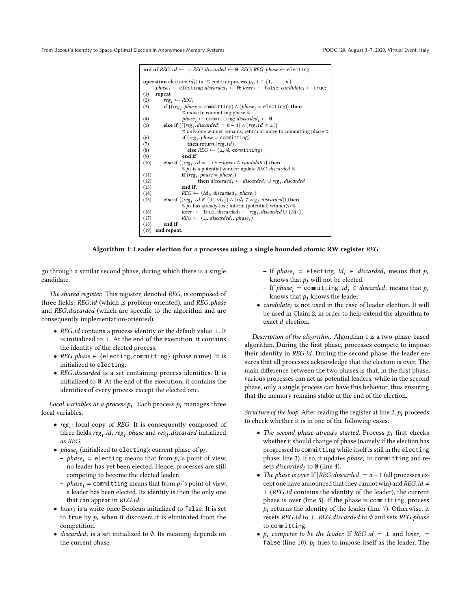| init of REG.id $\leftarrow \perp$ ; REG.discarded $\leftarrow \emptyset$ ; REG: REG.phase $\leftarrow$ electing.                                                         |
|--------------------------------------------------------------------------------------------------------------------------------------------------------------------------|
|                                                                                                                                                                          |
| <b>operation</b> election( <i>id<sub>i</sub></i> ) is % code for process $p_i$ , $i \in \{1, \dots, n\}$                                                                 |
| $phase_i \leftarrow$ electing; <i>discarded<sub>i</sub></i> $\leftarrow$ 0; <i>loser<sub>i</sub></i> $\leftarrow$ false; <i>candidate<sub>i</sub></i> $\leftarrow$ true; |
| (1)<br>repeat                                                                                                                                                            |
| (2)<br>$reg_i \leftarrow REG;$                                                                                                                                           |
| if $((reg_i)$ . phase = committing) $\land$ (phase, = electing)) then<br>(3)                                                                                             |
| % move to committing phase %                                                                                                                                             |
| $phase_i \leftarrow$ committing; <i>discarded</i> <sub>i</sub> $\leftarrow \emptyset$<br>(4)                                                                             |
| else if $(( reg_i.discarded  = n - 1) \wedge (reg.id \neq \bot))$<br>(5)                                                                                                 |
| % only one winner remains; return or move to committing phase %                                                                                                          |
| <b>if</b> $(reg_i, phase = committing)$<br>(6)                                                                                                                           |
| <b>then</b> return ( <i>reg.id</i> )<br>(7)                                                                                                                              |
| else $REG \leftarrow \langle \perp, \emptyset,$ committing)<br>(8)                                                                                                       |
| end if<br>(9)                                                                                                                                                            |
| else if $((reg_i.id = \bot) \land \neg loser_i \land candidate_i)$ then<br>(10)                                                                                          |
| $\%$ $p_i$ is a potential winner; update REG. discarded %                                                                                                                |
| $\mathbf{if}$ (reg, phase = phase,)<br>(11)                                                                                                                              |
| <b>then</b> discarded <sub>i</sub> $\leftarrow$ discarded <sub>i</sub> $\cup$ reg <sub>i</sub> . discarded<br>(12)                                                       |
| (13)<br>end if:                                                                                                                                                          |
| $REG \leftarrow \langle id_i, discarded_i, phase_i \rangle$<br>(14)                                                                                                      |
| else if $((reg_i.id \notin \{\bot, id_i\}) \land (id_i \notin reg_i.discarded))$ then<br>(15)                                                                            |
| $\%$ $p_i$ has already lost; inform (potential) winner(s) $\%$                                                                                                           |
| $loser_i \leftarrow true$ ; discarded <sub>i</sub> $\leftarrow reg_i$ , discarded $\cup$ {id <sub>i</sub> };<br>(16)                                                     |
| $REG \leftarrow \langle \perp, \text{ discarded}_i, \text{phase}_i \rangle$<br>(17)                                                                                      |
| end if<br>(18)                                                                                                                                                           |
| (19)<br>end repeat.                                                                                                                                                      |

#### Algorithm 1: Leader election for  $n$  processes using a single bounded atomic RW register REG

go through a similar second phase, during which there is a single candidate.

The shared register. This register, denoted REG, is composed of three fields: REG.id (which is problem-oriented), and REG.phase and REG.discarded (which are specific to the algorithm and are consequently implementation-oriented).

- REG.id contains a process identity or the default value <sup>⊥</sup>. It is initialized to ⊥. At the end of the execution, it contains the identity of the elected process.
- REG.phase ∈ {electing, committing} (phase name). It is initialized to electing.
- REG.discarded is a set containing process identities. It is initialized to ∅. At the end of the execution, it contains the identities of every process except the elected one.

Local variables at a process  $p_i$ . Each process  $p_i$  manages three local variables.

- $reg_i$ : local copy of REG. It is consequently composed of three fields  $reg_i$  *i.id, reg<sub>i</sub> phase* and  $reg_i$  *discarded* initialized as  $REG$ as REG.
- *phase<sub>i</sub>* (initialized to electing): current phase of  $p_i$ .<br>
represented from  $p_i$ 's point of
	- *phase*<sub>i</sub> = electing means that from  $p_i$ 's point of view, no leader has vet been elected. Hence processes are still no leader has yet been elected. Hence, processes are still competing to become the elected leader.
	- *phase<sub>i</sub>* = committing means that from  $p_i$ 's point of view, a leader has been elected. Its identity is then the only one that can appear in REG.id.
- $loser_i$  is a write-once Boolean initialized to false. It is set to true by a when it discovere it is eliminated from the to true by  $p_i$  when it discovers it is eliminated from the competition.
- discarded<sub>i</sub> is a set initialized to  $\emptyset$ . Its meaning depends on the current phase the current phase.
- If *phase<sub>i</sub>* = electing, *id<sub>j</sub>* ∈ *discarded<sub>i</sub>* means that *p<sub>i</sub>* knows that *p<sub>i</sub>* und be elected knows that  $p_j$  will not be elected.
- If phase<sub>i</sub> = committing,  $id_j$  ∈ discarded<sub>i</sub> means that p<sub>i</sub> knows that *p<sub>i</sub>* knows that  $p_i$  knows the leader.
- *candidate<sub>i</sub>* is not used in the case of leader election. It will be used in Claim 2 in order to help extend the electrition to be used in Claim 2, in order to help extend the algorithm to exact d-election.

Description of the algorithm. Algorithm 1 is a two-phase-based algorithm. During the first phase, processes compete to impose their identity in REG.id. During the second phase, the leader ensures that all processes acknowledge that the election is over. The main difference between the two phases is that, in the first phase, various processes can act as potential leaders, while in the second phase, only a single process can have this behavior, thus ensuring that the memory remains stable at the end of the election.

Structure of the loop. After reading the register at line 2,  $p_i$  proceeds to check whether it is in one of the following cases.

- The second phase already started. Process  $p_i$  first checks whether it should change of phase (namely if the election has progressed to committing while itself is still in the electing phase, line 3). If so, it updates  $phase<sub>i</sub>$  to committing and resets *discarded<sub>i</sub>* to  $\emptyset$  (line 4).
- The phase is over. If  $|REG.discarded| = n 1$  (all processes except one have announced that they cannot win) and REG.id  $\neq$ <sup>⊥</sup> (REG.id contains the identity of the leader), the current phase is over (line 5). If the phase is committing, process  $p_i$  returns the identity of the leader (line 7). Otherwise, it resets REG.id to <sup>⊥</sup>, REG.discarded to <sup>∅</sup> and sets REG.phase to committing.
- $p_i$  competes to be the leader. If REG.id =  $\perp$  and loser<sub>i</sub> = false (line 10),  $p_i$  tries to impose itself as the leader. The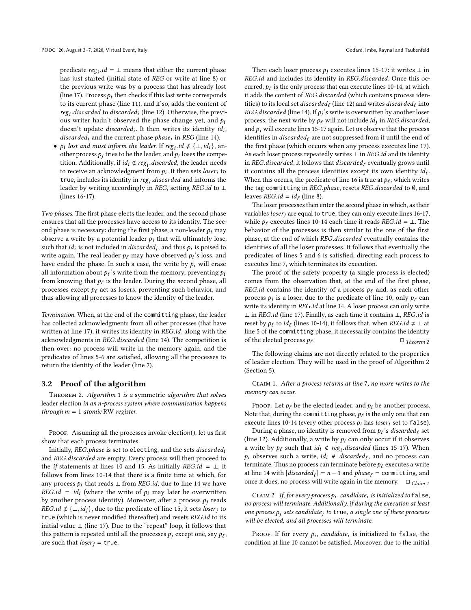predicate  $reg_i.id = \bot$  means that either the current phase<br>has just started (initial state of *PEG* or write at line 8) or has just started (initial state of REG or write at line 8) or the previous write was by a process that has already lost (line 17). Process  $p_i$  then checks if this last write corresponds to its current phase (line 11), and if so, adds the content of  $reg_i.discarded$  to discarded<sub>i</sub> (line 12). Otherwise, the previ-<br>ous writer hadn't observed the phase change yet, and  $g_i$ ous writer hadn't observed the phase change yet, and p<sub>i</sub><br>doesn't undate *discarded*. It then writes its identity id. doesn't update *discarded<sub>i</sub>*. It then writes its identity  $id_i$ ,<br>discarded: and the current phase phase: in *PEC* (line 14) discarded<sub>i</sub> and the current phase *phase<sub>i</sub>* in *REG* (line 14).

•  $p_i$  lost and must inform the leader. If  $reg_i.id \notin \{\bot, id_i\}$ , an-<br>other process  $p_i$  tries to be the leader and  $p_i$  loses the compaother process  $p_j$  tries to be the leader, and  $p_i$  loses the compe-<br>tition, Additionally, if id. 4 reg. discarded, the leader needs tition. Additionally, if  $id_i \notin reg_i$  discarded, the leader needs to receive an acknowledgment from  $n_i$ . It then sets loser: to to receive an acknowledgment from  $p_i$ . It then sets *loser<sub>i</sub>* to true includes its identity in reg. *discarded* and informs the true, includes its identity in  $reg_i$  discarded and informs the leader by writing accordingly in *REG* setting *REG* id to  $\pm$ leader by writing accordingly in REG, setting REG.id to ⊥<br>(lines 16-17) (lines 16-17).

Two phases. The first phase elects the leader, and the second phase ensures that all the processes have access to its identity. The second phase is necessary: during the first phase, a non-leader  $p_i$  may observe a write by a potential leader  $p_i$  that will ultimately lose, such that  $id_i$  is not included in *discarded<sub>j</sub>*, and thus  $p_i$  is poised to write again. The real leader *he may have observed n*<sup>2</sup>s loss, and write again. The real leader  $p_\ell$  may have observed  $p_i$ 's loss, and<br>have ended the phase. In such a case, the write by  $p_i$  will erase have ended the phase. In such a case, the write by  $p_i$  will erase all information about  $p_\ell$ 's write from the memory, preventing  $p_i$ <br>from knowing that  $p_\ell$  is the leader. During the second phase, all from knowing that  $p_{\ell}$  is the leader. During the second phase, all<br>processes except he act as losers, preventing such behavior, and processes except  $p_\ell$  act as losers, preventing such behavior, and thus allowing all processes to know the identity of the leader.

Termination. When, at the end of the committing phase, the leader has collected acknowledgments from all other processes (that have written at line 17), it writes its identity in REG.id, along with the acknowledgments in REG.discarded (line 14). The competition is then over: no process will write in the memory again, and the predicates of lines 5-6 are satisfied, allowing all the processes to return the identity of the leader (line 7).

#### 3.2 Proof of the algorithm

Theorem 2. Algorithm 1 is a symmetric algorithm that solves leader election in an n-process system where communication happens through  $m = 1$  atomic RW register.

PROOF. Assuming all the processes invoke election(), let us first show that each process terminates.

Initially, REG.phase is set to electing, and the sets  $discarded_i$ and REG.discarded are empty. Every process will then proceed to the *if* statements at lines 10 and 15. As initially REG.id =  $\bot$ , it follows from lines 10-14 that there is a finite time at which, for any process  $p_i$  that reads  $\perp$  from REG.id, due to line 14 we have REG.id =  $id_i$  (where the write of  $p_i$  may later be overwritten<br>by another process identity). Moreover, after a process  $p_i$  reads by another process identity). Moreover, after a process  $p_i$  reads *REG.id* ∉ {⊥, *id<sub>i</sub>*}, due to the predicate of line 15, it sets *loser<sub>i</sub>* to true (which is never modified thereafter) and resets REG.id to its initial value  $⊥$  (line 17). Due to the "repeat" loop, it follows that this pattern is repeated until all the processes  $p_j$  except one, say  $p_\ell$ , are such that *loser*  $j = true$ .

Then each loser process  $p_j$  executes lines 15-17: it writes  $\perp$  in REG.id and includes its identity in REG.discarded. Once this occurred,  $p_\ell$  is the only process that can execute lines 10-14, at which<br>it adds the content of *REG* discarded (which contains process idenit adds the content of REG.discarded (which contains process identities) to its local set *discarded* (line 12) and writes *discarded*  $\ell$  into  $PFC$  discarded (line 14) If n<sup>2</sup>s write is overwritten by another loser REG.discarded (line 14). If  $p_j$ 's write is overwritten by another loser<br>process, the next write by  $p_s$  will not include id, in REG discarded process, the next write by  $p_\ell$  will not include  $id_j$  in REG.discarded, and  $p_i$  will execute lines 15-17 again. Let us observe that the process and  $p_i$  will execute lines 15-17 again. Let us observe that the process identities in *discarded* $_{\ell}$  are not suppressed from it until the end of the first phase (which occurs when any process executes line 17). As each loser process repeatedly writes  $\perp$  in REG.id and its identity in REG.discarded, it follows that discarded $_{\ell}$  eventually grows until it contains all the process identities except its own identity  $id_{\ell}$ .<br>When this occurs the predicate of line 16 is true at the which writes When this occurs, the predicate of line 16 is true at  $p_\ell$ , which writes<br>the tag committing in *BEG* phase, resets *BEG* discarded to 0, and the tag committing in REG.phase, resets REG.discarded to <sup>∅</sup>, and leaves  $REG.id = id_{\ell}$  (line 8).<br>The loser processes then e

The loser processes then enter the second phase in which, as their variables  $loser<sub>j</sub>$  are equal to true, they can only execute lines 16-17, while  $p_\ell$  executes lines 10-14 each time it reads REG.id = ⊥. The behavior of the processes is then similar to the one of the first phase, at the end of which REG.discarded eventually contains the identities of all the loser processes. It follows that eventually the predicates of lines 5 and 6 is satisfied, directing each process to executes line 7, which terminates its execution.

The proof of the safety property (a single process is elected) comes from the observation that, at the end of the first phase, REG.id contains the identity of a process  $p_\ell$  and, as each other process  $p_j$  is a loser, due to the predicate of line 10, only  $p_\ell$  can<br>write its identity in *PEG* id at line 14, A loser process can only write write its identity in REG.id at line 14. A loser process can only write <sup>⊥</sup> in REG.id (line 17). Finally, as each time it contains <sup>⊥</sup>, REG.id is reset by  $p_\ell$  to  $id_\ell$  (lines 10-14), it follows that, when  $REG.id \neq \bot$  at line 5 of the committing phase it necessarily contains the identity line 5 of the committing phase, it necessarily contains the identity of the elected process  $p_\ell$ .  $\Box$  Theorem 2

The following claims are not directly related to the properties of leader election. They will be used in the proof of Algorithm 2 (Section 5).

Claim 1. After a process returns at line 7, no more writes to the memory can occur.

PROOF. Let  $p_\ell$  be the elected leader, and  $p_i$  be another process. Note that, during the committing phase,  $p_\ell$  is the only one that can<br>execute lines 10-14 (every other process  $p_i$  has loser, set to false) execute lines 10-14 (every other process  $p_i$  has loser<sub>i</sub> set to false).

During a phase, no identity is removed from  $p_\ell$ 's discarded $_\ell$  set (line 12). Additionally, a write by  $p_i$  can only occur if it observes a write by  $p_\ell$  such that  $id_i \notin reg_i$  discarded (lines 15-17). When  $p_i$  observes such a write  $id_i \notin discrete$  and no process can  $p_i$  observes such a write,  $id_i \notin \text{discarded}_{\ell}$ , and no process can terminate before to execute a write terminate. Thus no process can terminate before  $p_\ell$  executes a write at line 14 with  $\left| discarded_\ell \right| = n - 1$  and  $phase_\ell =$  committing, and once it does no process will write again in the memory.  $\Box$  of the once it does, no process will write again in the memory.  $\Box$  Claim 1

CLAIM 2. If, for every process  $p_i$ , candidate<sub>i</sub> is initialized to false,<br>process will terminate, Additionally if during the execution at least no process will terminate. Additionally, if during the execution at least one process  $p_i$  sets candidate<sub>j</sub> to true, a single one of these processes will be elected, and all processes will terminate.

PROOF. If for every  $p_i$ , candidate<sub>i</sub> is initialized to false, the original property due to the initial condition at line 10 cannot be satisfied. Moreover, due to the initial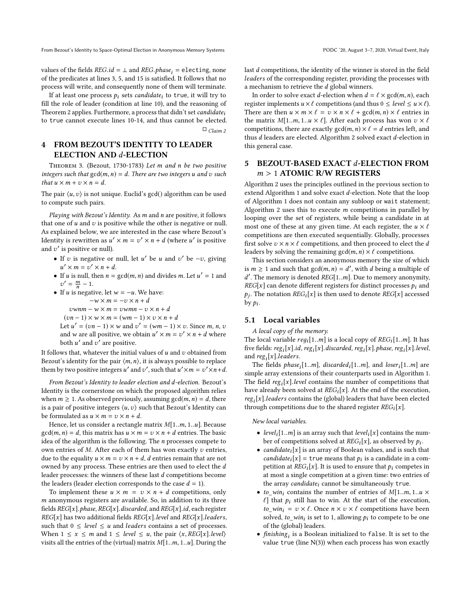From Bezout's Identity to Space-Optimal Election in Anonymous Memory Systems PODC '20, August 3-7, 2020, Virtual Event, Italy

values of the fields  $REG.id = \bot$  and  $REG.phpase_i = electricity,$  none of the predicates at lines 3, 5, and 15 is satisfied. It follows that no process will write, and consequently none of them will terminate.

If at least one process  $p_i$  sets *candidate<sub>i</sub>* to true, it will try to fill the role of leader (condition at line 10), and the reasoning of Theorem 2 applies. Furthermore, a process that didn't set *candidate<sub>i</sub>* to true cannot execute lines 10-14, and thus cannot be elected.  $\Box$  Claim 2

# 4 FROM BEZOUT'S IDENTITY TO LEADER ELECTION AND d-ELECTION

Theorem 3. (Bezout, 1730-1783) Let m and n be two positive integers such that  $gcd(m, n) = d$ . There are two integers u and v such that  $u \times m + v \times n = d$ .

The pair  $\langle u, v \rangle$  is not unique. Euclid's gcd() algorithm can be used to compute such pairs.

Playing with Bezout's Identity. As m and n are positive, it follows that one of  $u$  and  $v$  is positive while the other is negative or null. As explained below, we are interested in the case where Bezout's Identity is rewritten as  $u' \times m = v' \times n + d$  (where u' is positive and  $v'$  is positive or pull) and  $v'$  is positive or null).

- If v is negative or null, let u' be u and v' be  $-v$ , giving  $u' \times m = u' \times n + d$  $\alpha' \times m = v' \times n + d.$
- If *u* is null, then  $n = \gcd(m, n)$  and divides *m*. Let  $u' = 1$  and  $u' = m 1$  $'=\frac{m}{n}-1.$
- If u is negative, let  $w = -u$ . We have:<br> $-w \times m = -v \times n + d$  $-w \times m = -v \times n + d$  $vwm - w \times m = vwm - v \times n + d$ 
	- $(vn 1) \times w \times m = (wm 1) \times v \times n + d$

Let  $u' = (vn - 1) \times w$  and  $v' = (wm - 1) \times v$ . Since m, n, v and w are all positive, we obtain  $u' \times m = v' \times n + d$  where both  $u'$  and  $v'$  are positive.

It follows that, whatever the initial values of  $u$  and  $v$  obtained from Bezout's identity for the pair  $\langle m, n \rangle$ , it is always possible to replace them by two positive integers u' and v', such that  $u' \times m = v' \times n + d$ .

From Bezout's Identity to leader election and d-election. Bezout's Identity is the cornerstone on which the proposed algorithm relies when  $m \ge 1$ . As observed previously, assuming  $gcd(m, n) = d$ , there is a pair of positive integers  $\langle u, v \rangle$  such that Bezout's Identity can be formulated as  $u \times m = v \times n + d$ .

Hence, let us consider a rectangle matrix M[1..m, <sup>1</sup>..u]. Because  $gcd(m, n) = d$ , this matrix has  $u \times m = v \times n + d$  entries. The basic idea of the algorithm is the following. The n processes compete to own entries of  $M$ . After each of them has won exactly  $v$  entries, due to the equality  $u \times m = v \times n + d$ , *d* entries remain that are not owned by any process. These entries are then used to elect the d leader processes: the winners of these last d competitions become the leaders (leader election corresponds to the case  $d = 1$ ).

To implement these  $u \times m = v \times n + d$  competitions, only m anonymous registers are available. So, in addition to its three fields  $REG[x]$ .phase,  $REG[x]$ .discarded, and  $REG[x]$ .id, each register  $REG[x]$  has two additional fields  $REG[x]$ . level and  $REG[x]$ . leaders, such that  $0 \le level \le u$  and *leaders* contains a set of processes. When  $1 \le x \le m$  and  $1 \le level \le u$ , the pair  $\langle x, REG[x].level \rangle$ visits all the entries of the (virtual) matrix  $M[1..m, 1..u]$ . During the

last d competitions, the identity of the winner is stored in the field leaders of the corresponding register, providing the processes with a mechanism to retrieve the d global winners.

In order to solve exact d-election when  $d = \ell \times \text{gcd}(m, n)$ , each register implements  $u \times \ell$  competitions (and thus  $0 \leq level \leq u \times \ell$ ). There are then  $u \times m \times \ell = v \times n \times \ell + \gcd(m, n) \times \ell$  entries in the matrix  $M[1..m, 1..u \times \ell]$ . After each process has won  $v \times \ell$ competitions, there are exactly  $gcd(m, n) \times \ell = d$  entries left, and thus *d* leaders are elected. Algorithm 2 solved exact *d*-election in this general case.

# 5 BEZOUT-BASED EXACT d-ELECTION FROM  $m > 1$  ATOMIC R/W REGISTERS

Algorithm 2 uses the principles outlined in the previous section to extend Algorithm 1 and solve exact d-election. Note that the loop of Algorithm 1 does not contain any subloop or wait statement; Algorithm 2 uses this to execute  $m$  competitions in parallel by looping over the set of registers, while being a candidate in at most one of these at any given time. At each register, the  $u \times \ell$ competitions are then executed sequentially. Globally, processes first solve  $v \times n \times \ell$  competitions, and then proceed to elect the d leaders by solving the remaining  $gcd(m, n) \times \ell$  competitions.

This section considers an anonymous memory the size of which is  $m \ge 1$  and such that  $gcd(m, n) = d'$ , with d being a multiple of d' The memory is denoted *REG*[1, m]. Due to memory anonymity REG[x] can denote different registers for distinct processes  $p_i$  and  $p_i$ . The notation  $PFC[x]$  is then used to denote  $PFC[x]$  accessed The memory is denoted  $REG[1..m]$ . Due to memory anonymity,<br> $EG[x]$  can denote different registers for distinct processes  $A$ ; and by  $p_i$ .  $p_i$ . The notation REG<sub>i</sub>[x] is then used to denote REG[x] accessed

#### 5.1 Local variables

A local copy of the memory.

The local variable  $reg_i[1..m]$  is a local copy of  $REG_i[1..m]$ . It has five fields:  $reg_i[x].id$ ,  $reg_i[x].discarded$ ,  $reg_i[x].phase$ ,  $reg_i[x].level$ ,<br>and reg.[x] leaders and  $reg_i[x]$ . leaders.<br>The fields thas

The fields *phase*<sub>i</sub>[1..*m*], *discarded*<sub>i</sub>[1..*m*], and *loser*<sub>i</sub>[1..*m*] are i simple array extensions of their counterparts used in Algorithm 1. The field  $reg_i[x]$ . *level* contains the number of competitions that have already been solved at  $REG_i[x]$ . At the end of the execution have already been solved at  $REG_i[x]$ . At the end of the execution, reg [x] leaders contains the (global) leaders that have been elected  $reg_i[x].*leads* contains the (global) leaders that have been elected through competitions due to the shared register  $PEG_i[x]$ .$ through competitions due to the shared register  $REG_i[x]$ .

New local variables.

- level<sub>i</sub>[1..*m*] is an array such that level<sub>i</sub>[x] contains the number of competitions solved at  $REG_i[x]$ , as observed by  $pi_i$ .<br>candidate: [x] is an array of Boolean values, and is such the
- candidate<sub>i</sub>[x] is an array of Boolean values, and is such that candidate<sub>i</sub>[x] = true means that  $p_i$  is a candidate in a com-<br>netition at *BEC*. [x] It is used to ensure that  $p_i$  compates in petition at  $REG_i[x]$ . It is used to ensure that  $p_i$  competes in at most a single competition at a given time: two entries of the array candidate<sub>i</sub> cannot be simultaneously true.
- to\_win<sub>i</sub> contains the number of entries of  $M[1..m, 1..u \times$  $\ell$ ] that  $p_i$  still has to win. At the start of the execution,  $to\_win_i = v \times \ell$ . Once  $n \times v \times \ell$  competitions have been solved,  $to\_win_i$  is set to 1, allowing  $p_i$  to compete to be one<br>of the (global) leaders of the (global) leaders.
- finishing<sub>i</sub> is a Boolean initialized to false. It is set to the value true (line N(3)) when each process has won exactly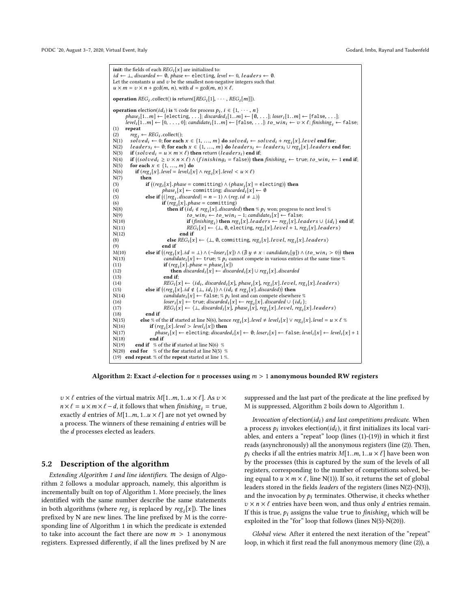init: the fields of each  $REG<sub>i</sub>[x]$  are initialized to: id  $\leftarrow$   $\perp$ , discarded  $\leftarrow$  0, phase  $\leftarrow$  electing, level  $\leftarrow$  0, leaders  $\leftarrow$  0. Let the constants  $u$  and  $v$  be the smallest non-negative integers such that  $u \times m = v \times n + \gcd(m, n)$ , with  $d = \gcd(m, n) \times \ell$ . **operation**  $REG_i$  collect() is return([ $REG_i[1], \cdots$ ,  $REG_i[m]]$ ). operation election(id<sup>i</sup> ) is % code for process <sup>p</sup><sup>i</sup> , i ∈ {1, · · · , n} phase<sup>i</sup> [1..m] ← [electing, . . .]; discarded<sup>i</sup> [1..m] ← [∅, . . .]; loser<sup>i</sup> [1..m] ← [false, . . .]; level<sub>i</sub>[1..m]  $\leftarrow$  [0, ..., 0]; candidate<sub>i</sub>[1..m]  $\leftarrow$  [false, ...]: to\_win<sub>i</sub>  $\leftarrow v \times \ell$ ; finishing<sub>i</sub>  $\leftarrow$  false; (1) repeat (2)  $reg_i \leftarrow REG_i.\text{collect}();$ <br>N(1) solared:  $\leftarrow$  0; for each  $N(1)$  solved<sub>i</sub> ← 0; for each  $x \in \{1, ..., m\}$  do solved<sub>i</sub> ← solved<sub>i</sub> + reg<sub>i</sub>[x]. level end for;<br> $N(2)$  leaders: ← 0; for each  $x \in \{1, ..., m\}$  do leaders: ← leaders: U reg.[x] leaders en N(2) leader  $s_i \leftarrow 0$ ; for each  $x \in \{1, ..., m\}$  do leader  $s_i \leftarrow$  leader  $s_i \cup \text{reg}_i[x]$ . leaders end for;<br>N(3) if (solved: = u × m × l) then return (leader s:) end if: N(3) if  $(solved_i = u \times m \times \ell)$  then return  $(leading_i)$  end if;<br>N(4) if  $((solid_i > v \times n \times \ell) \wedge (finishing_i = false))$  then N(4) if  $((solved_i ≥ v × n × l) ∧ (f inishing_i = false))$  then  $f inishing_i ← true; to\_win_i ← 1$  end if;<br>N(5) for each  $x ∈ {1, ..., m}$  do N(5) for each  $x \in \{1, ..., m\}$  do<br>N(6) if (reg. [x], level = level; [x] N(6) if  $(reg_i[x].level = level_i[x] \wedge reg_i[x].level < u \times \ell$ <br>N(7) then  $N(7)$  then (3) if  $((reg_i[x], phase = \text{committing}) \land (phase_i[x] = \text{electing})$  then<br>
the phase  $[x] \leftarrow \text{committing}$  discarded  $[x] \leftarrow \emptyset$ (4) phase<sub>i</sub>[x]  $\leftarrow$  committing; discarded<sub>i</sub>[x]  $\leftarrow$  0<br>(5) **else if** ((lreg. discarded) = n - 1)  $\wedge$  (reg. id  $\neq$  1)) (5) **else if**  $((|reg_i.discarded | = n-1) \land (reg_id \neq \bot))$ <br>(6) **if**  $(reg,[x]$  phase = committing) (6)  $\textbf{if} (reg_i[x].phase = \text{committing})$ <br>  $\textbf{then} \textbf{if} (id. \# res. [x]. discrete)$ N(8) then if  $(id_i \notin reg_i[x]$ . discarded) then  $\mathscr{R} p_i$  won; progress to next level  $\mathscr{R}$ <br>N(9) to win  $\leftarrow$  to win  $-1$ ; candidate  $[x] \leftarrow$  false. N(9)  $to\_win_i \leftarrow to\_win_i - 1$ ; candidate<sub>i</sub> [x] ← false;<br>N(10)  $if (finishing_i) then reg_i[x]. leaders \leftarrow reg_i[x].le$ N(10)  $\text{if } (\text{finishing}_i) \text{ then } \text{reg}_i[x].\text{ leaders } \leftarrow \text{reg}_i[x].\text{ leaders } \cup \{id_i\} \text{ end if};$ <br>N(11)  $\text{REG}_i[x] \leftarrow (\perp \emptyset \text{ electrons } \text{res } [x].\text{length } + 1 \text{ res } [x].\text{ leaders } \cup \text{edges } \text{length } [x].$ N(11)  $REG_i[x] \leftarrow \langle \perp, \emptyset,$  electing,  $reg_i[x].level + 1, reg_i[x].leaders \rangle$ <br>N(12) end if N(12) end if (8) else  $REG_i[x] \leftarrow \langle \bot, \emptyset, \text{committing}, \text{reg}_i[x].level, \text{reg}_i[x].leads \rangle$ <br>(9) end if (9) end if M(10) **else if**  $((reg_i[x], id = \bot) \land (\neg{loger}_i[x]) \land (\nexists y \neq x : candidate_i[y]) \land (to\_win_i > 0))$  then  $\Box$ <br>  ${N(13)}$  candidate.  $[x] \leftarrow true \ \%$  *b*; cannot compete in various entries at the same time  $\%$ . N(13) candidate<sub>i</sub> [x] ← true; %  $p_i$  cannot compete in various entries at the same time % (11) **if** (reg<sub>1</sub>[x], phase = phase<sub>i</sub>[x]) (11)  $\qquad \qquad \textbf{if} \left( \text{reg}_i[x] \right) \text{ phase} = \text{phase}_i[x]$ <br>  $\qquad \qquad \textbf{then} \text{ discarded}_i[x] \leftarrow \text{disc}$ (12) then discarded<sub>i</sub> [x] ← discarded<sub>i</sub> [x] ∪ reg<sub>i</sub> [x]. discarded (13) (13) end if; (14) REG<sub>i</sub>[x] ←  $\langle id_i, \text{discarded}_i[x], \text{phase}_i[x], \text{reg}_i[x].level, \text{reg}_i[x]. leaders \rangle$ <br>(15) **else if** ((reg [x] id  $d \downarrow |$  id.))  $\land$  (id.  $d$  reg [x] discarded)) **then** (15) **else if**  $((reg_i[x].id \notin \{ \bot, id_i \}) \wedge (id_i \notin reg_i[x].discarded))$  then<br>  $N(14)$  candidate.  $[x] \leftarrow$  false:  $\%$  *n*, lost and can compete elsewhen N(14) candidate<sub>i</sub> [x] ← false; % p<sub>i</sub> lost and can compete elsewhere %<br>(16)  $loger [x] \leftarrow true \, closed \, d[x] \leftarrow res \, [x] \, closed \, d[x]$ (16)  $\qquad \qquad \text{loser}_i[x] \leftarrow \text{true}; \text{discarded}_i[x] \leftarrow \text{reg}_i[x]. \text{discarded} \cup \{id_i\};$ <br>
(17)  $\qquad \qquad \text{REG}_i[x] \leftarrow \langle \perp, \text{discarded}_i[x], \text{phase}_i[x], \text{reg}_i[x]. \text{level}, \text{reg}_i[x]. \text{leadser } s \rangle$ (18) end if N(15) else % of the if started at line N(6), hence  $reg_i[x]$ . level ≠ level<sub>i</sub>[x] ∨ reg<sub>i</sub>[x]. level = u ×  $\ell$  %<br>N(16) if (reg.[x] level > level:[x]) then N(16)  $\textbf{if } (reg_i[x].level > level_i[x]) \textbf{then}$ <br>N(17)  $phase_i[x] \leftarrow$  electing discard  $N(17)$  phase<sub>i</sub>[x]  $\leftarrow$  electing; discarded<sub>i</sub>[x]  $\leftarrow$  0; loser<sub>i</sub>[x]  $\leftarrow$  false; level<sub>i</sub>[x]  $\leftarrow$  level<sub>i</sub>[x] + 1  $N(18)$  end if  $N(19)$  end if % of the if started at line  $N(6)$  % N(20) end for % of the for started at line N(5) % (19) end repeat. % of the repeat started at line 1 %.

Algorithm 2: Exact d-election for n processes using  $m > 1$  anonymous bounded RW registers

 $v \times \ell$  entries of the virtual matrix  $M[1..m, 1..u \times \ell]$ . As  $v \times$  $n \times \ell = u \times m \times \ell - d$ , it follows that when finishing<sub>i</sub> = true, exactly d entries of  $M[1..m, 1..u \times \ell]$  are not yet owned by a process. The winners of these remaining  $d$  entries will be the d processes elected as leaders.

#### 5.2 Description of the algorithm

Extending Algorithm 1 and line identifiers. The design of Algorithm 2 follows a modular approach, namely, this algorithm is incrementally built on top of Algorithm 1. More precisely, the lines identified with the same number describe the same statements in both algorithms (where  $reg_i$  is replaced by  $reg_i[x]$ ). The lines<br>prefixed by N are new lines. The line prefixed by M is the correprefixed by N are new lines. The line prefixed by M is the corresponding line of Algorithm 1 in which the predicate is extended to take into account the fact there are now  $m > 1$  anonymous registers. Expressed differently, if all the lines prefixed by N are

suppressed and the last part of the predicate at the line prefixed by M is suppressed, Algorithm 2 boils down to Algorithm 1.

Invocation of election $(id_i)$  and last competitions predicate. When a process  $p_i$  invokes election( $id_i$ ), it first initializes its local vari-<br>ables, and enters a "repeat" loop (lines (1)-(19)) in which it first. ables, and enters a "repeat" loop (lines (1)-(19)) in which it first reads (asynchronously) all the anonymous registers (line (2)). Then,  $p_i$  checks if all the entries matrix  $M[1..m, 1..u \times \ell]$  have been won by the processes (this is captured by the sum of the levels of all registers, corresponding to the number of competitions solved, being equal to  $u \times m \times \ell$ , line N(1)). If so, it returns the set of global leaders stored in the fields leaders of the registers (lines N(2)-(N3)), and the invocation by  $p_i$  terminates. Otherwise, it checks whether  $v \times n \times \ell$  entries have been won, and thus only d entries remain. If this is true,  $p_i$  assigns the value true to finishing, which will be exploited in the "for" loop that follows (lines N(5)-N(20)).

Global view. After it entered the next iteration of the "repeat" loop, in which it first read the full anonymous memory (line (2)), a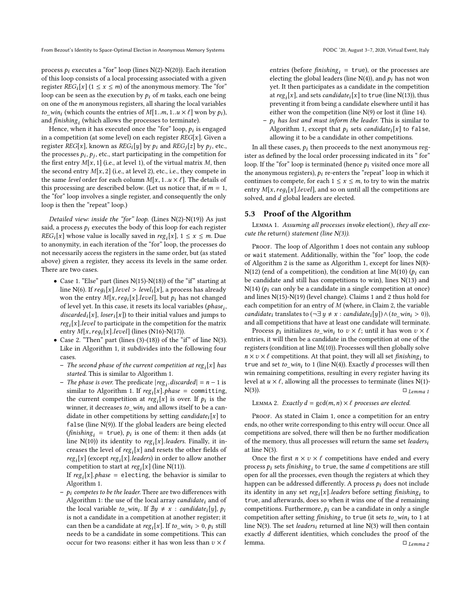process  $p_i$  executes a "for" loop (lines N(2)-N(20)). Each iteration of this loop consists of a local processing associated with a given register  $REG_i[x]$  (1  $\leq$  x  $\leq$  *m*) of the anonymous memory. The "for" loop can be seen as the execution by  $p_i$  of m tasks, each one being on one of the m anonymous registers, all sharing the local variables to\_win<sub>i</sub> (which counts the entries of  $M[1..m, 1..u \times \ell]$  won by  $p_i$ ), and  $\hat{f}$ inishing $_i$  (which allows the processes to terminate).

Hence, when it has executed once the "for" loop,  $p_i$  is engaged<br>a competition (at some level) on each register  $\text{PEC}[x]$ . Given a in a competition (at some level) on each register  $REG[x]$ . Given a register  $REG[x]$ , known as  $REG_i[y]$  by  $p_i$  and  $REG_i[z]$  by  $p_j$ , etc., the processes  $p_i, p_j$  atc., start participating in the competition for the processes  $p_i$ ,  $p_j$ , etc., start participating in the competition for the first entry  $M[x, 1]$  (i.e., at level 1) of the virtual matrix M, then the first entry  $M[x, 1]$  (i.e., at level 1), of the virtual matrix M, then the second entry  $M[x, 2]$  (i.e., at level 2), etc., i.e., they compete in the same level order for each column  $M[x, 1..u \times \ell]$ . The details of this processing are described below. (Let us notice that, if  $m = 1$ , the "for" loop involves a single register, and consequently the only loop is then the "repeat" loop.)

Detailed view: inside the "for" loop. (Lines  $N(2)-N(19)$ ) As just said, a process  $p_i$  executes the body of this loop for each register  $REG_i[x]$  whose value is locally saved in  $reg_i[x]$ ,  $1 \le x \le m$ . Due to anonymity in each iteration of the "for" loop the processes do to anonymity, in each iteration of the "for" loop, the processes do not necessarily access the registers in the same order, but (as stated above) given a register, they access its levels in the same order. There are two cases.

- Case 1. "Else" part (lines N(15)-N(18)) of the "if" starting at line N(6). If  $reg_i[x].level > level_i[x]$ , a process has already won the entry  $M[x,req_i[x].level]$ , but  $p_i$  has not changed of level yet. In this case, it resets its local variables (phase<sub>i</sub>, discarded<sub>i</sub>[x], loser<sub>i</sub>[x]) to their initial values and jumps to the natrix  $reg_i[x].level$  to participate in the competition for the matrix<br>entry  $M[x, real[x].level$  (lines (N16)-N(17)) entry  $M[x, reg_i[x].level]$  (lines (N16)-N(17)).<br>Case 2. "Then" part (lines (3)-(18)) of the "i
- Case 2. "Then" part (lines (3)-(18)) of the "if" of line  $N(3)$ . Like in Algorithm 1, it subdivides into the following four cases.
	- The second phase of the current competition at reg<sub>i</sub>[x] has<br>started This is similar to Algorithm 1 started. This is similar to Algorithm 1.
	- The phase is over. The predicate  $|reg_i.discarded| = n 1$  is similar to Algorithm 1. If reg [x] phase = committing similar to Algorithm 1. If  $reg_i[x]$ . *phase* = committing, the current commetition at reg [x] is over If  $\rho_i$  is the the current competition at  $reg_i[x]$  is over. If  $p_i$  is the uniner it decreases to win, and allows itself to be a canwinner, it decreases  $to\_win_i$  and allows itself to be a can-<br>didate in other competitions by setting candidate [x] to didate in other competitions by setting *candidate*<sub>i</sub>[x] to false (line  $N(9)$ ). If the global leaders are being elected  $(\text{finishing}_i = \text{true})$ ,  $p_i$  is one of them: it then adds (at line  $N(10)$ ) its identity to reg. [x] leaders Finally it inline  $N(10)$ ) its identity to reg<sub>i</sub>[x].*leaders*. Finally, it increases the level of  $reg_i[x]$  and resets the other fields of<br>reg [x] (except reg [x] leaders) in order to allow another  $reg_i[x]$  (except  $reg_i[x]$ .leaders) in order to allow another<br>competition to start at reg.[x] (line N(11)) competition to start at  $reg_i[x]$  (line N(11)).<br>If reg [x] phase = electing, the behavior

If  $reg_i[x]$ .*phase* = electing, the behavior is similar to algorithm 1 Algorithm 1.

 $-p_i$  competes to be the leader. There are two differences with Algorithm 1: the use of the local array *candidate<sub>i</sub>* and of the local variable to\_win<sub>i</sub>. If  $\exists y \neq x$  : candidate<sub>i</sub>[y], p<sub>i</sub><br>is not a candidate in a competition at another register; if is not a candidate in a competition at another register; it can then be a candidate at  $reg_i[x]$ . If  $to\_win_i > 0$ ,  $p_i$  still needs to be a candidate in some competitions. This can needs to be a candidate in some competitions. This can occur for two reasons: either it has won less than  $v\times \ell$ 

entries (before *finishing<sub>i</sub>* = true), or the processes are<br>electing the global leaders (line  $N(4)$ ) and n, has not won electing the global leaders (line  $N(4)$ ), and  $p_i$  has not won yet. It then participates as a candidate in the competition at  $reg_i[x]$ , and sets *candidate*<sub>i</sub>[x] to true (line N(13)), thus preventing it from being a candidate elsewhere until it has i preventing it from being a candidate elsewhere until it has either won the competition (line N(9) or lost it (line 14).

 $-p_i$  has lost and must inform the leader. This is similar to Algorithm 1, except that  $p_i$  sets candidate<sub>i</sub>[x] to false, allowing it to be a candidate in other competitions.

In all these cases,  $p_i$  then proceeds to the next anonymous register as defined by the local order processing indicated in its " for" loop. If the "for" loop is terminated (hence  $p_i$  visited once more all the anonymous registers),  $p_i$  re-enters the "repeat" loop in which it continues to compete, for each  $1 \le x \le m$ , to try to win the matrix entry  $M[x,reg_i[x].level]$ , and so on until all the competitions are solved, and  $d$  global leaders are elected.

#### 5.3 Proof of the Algorithm

Lemma 1. Assuming all processes invoke election(), they all execute the return() statement (line  $N(3)$ ).

PROOF. The loop of Algorithm 1 does not contain any subloop or wait statement. Additionally, within the "for" loop, the code of Algorithm 2 is the same as Algorithm 1, except for lines N(8)- N(12) (end of a competition), the condition at line M(10) ( $p_i$  can be candidate and still has competitions to win), lines N(13) and  $N(14)$  ( $p_i$  can only be a candidate in a single competition at once) and lines N(15)-N(19) (level change). Claims 1 and 2 thus hold for each competition for an entry of M (where, in Claim 2, the variable candidate<sub>i</sub> translates to  $(\neg \exists y \neq x : candidate_i[y]) \land (to\_win_i > 0)$ ), and all competitions that have at least one candidate will terminate.

Process  $p_i$  initializes  $to \text{ }w_i$  to  $v \times \ell$ ; until it has won  $v \times \ell$ entries, it will then be a candidate in the competition at one of the registers (condition at line M(10)). Processes will then globally solve  $n \times v \times \ell$  competitions. At that point, they will all set *finishing*<sub>i</sub> to true and set to win: to 1 (line N(4)). Exactly d processes will then true and set  $to\_win_i$  to 1 (line  $\tilde{N}(4)$ ). Exactly d processes will then win remaining competitions, resulting in every register having its win remaining competitions, resulting in every register having its level at  $u \times \ell$ , allowing all the processes to terminate (lines N(1)-N(3)).  $\square$  Lemma 1  $\Box$  Lemma 1

#### LEMMA 2. Exactly  $d = \gcd(m, n) \times \ell$  processes are elected.

PROOF. As stated in Claim 1, once a competition for an entry ends, no other write corresponding to this entry will occur. Once all competitions are solved, there will then be no further modification of the memory, thus all processes will return the same set leadersi at line N(3).

Once the first  $n \times v \times \ell$  competitions have ended and every process  $p_i$  sets finishing<sub>i</sub> to true, the same d competitions are still<br>open for all the processes, even though the registers at which they open for all the processes, even though the registers at which they happen can be addressed differently. A process  $p_i$  does not include its identity in any set  $reg_i[x]$ . leaders before setting *finishing*<sub>i</sub> to true and afterwards does so when it wins one of the *d* remaining true, and afterwards, does so when it wins one of the *d* remaining<br>competitions. Furthermore, as can be a candidate in only a single competitions. Furthermore,  $p_i$  can be a candidate in only a single competition after setting *finishing<sub>i</sub>* to true (it sets *to\_win<sub>i</sub>* to 1 at line  $N(3)$ . The set *leaders:* returned at line  $N(3)$  will then contain line  $\overline{N}(3)$ . The set *leaders<sub>i</sub>* returned at line  $\overline{N}(3)$  will then contain exactly *d* different identities, which concludes the proof of the lemma.  $\Box$  *Lemma 2* lemma.  $\square$   $\sqcup$   $\sqcup$   $\sqcup$   $\sqcup$   $\sqcup$   $\sqcup$   $\sqcup$   $\sqcup$   $\sqcup$   $\sqcup$   $\sqcap$   $\sqcup$   $\sqcup$   $\sqcap$   $\sqcup$   $\sqcap$   $\sqcup$   $\sqcap$   $\sqcap$   $\sqcap$   $\sqcap$   $\sqcap$   $\sqcap$   $\sqcap$   $\sqcap$   $\sqcap$   $\sqcap$   $\sqcap$   $\sqcap$   $\sqcap$   $\sqcap$   $\sqcap$   $\sqcap$   $\sqcap$   $\sqcap$